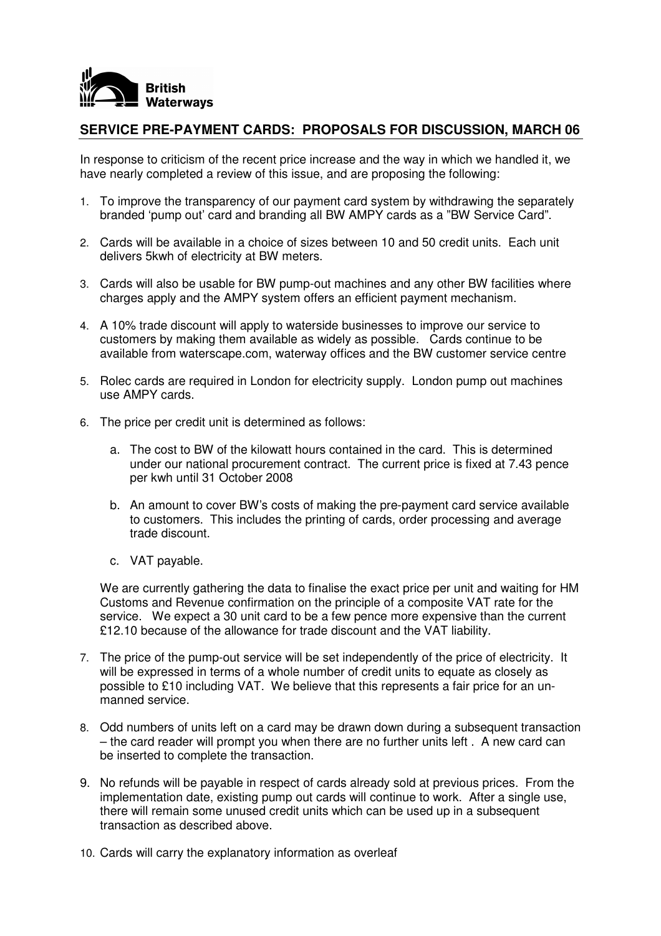

## **SERVICE PRE-PAYMENT CARDS: PROPOSALS FOR DISCUSSION, MARCH 06**

In response to criticism of the recent price increase and the way in which we handled it, we have nearly completed a review of this issue, and are proposing the following:

- 1. To improve the transparency of our payment card system by withdrawing the separately branded 'pump out' card and branding all BW AMPY cards as a "BW Service Card".
- 2. Cards will be available in a choice of sizes between 10 and 50 credit units. Each unit delivers 5kwh of electricity at BW meters.
- 3. Cards will also be usable for BW pump-out machines and any other BW facilities where charges apply and the AMPY system offers an efficient payment mechanism.
- 4. A 10% trade discount will apply to waterside businesses to improve our service to customers by making them available as widely as possible. Cards continue to be available from waterscape.com, waterway offices and the BW customer service centre
- 5. Rolec cards are required in London for electricity supply. London pump out machines use AMPY cards.
- 6. The price per credit unit is determined as follows:
	- a. The cost to BW of the kilowatt hours contained in the card. This is determined under our national procurement contract. The current price is fixed at 7.43 pence per kwh until 31 October 2008
	- b. An amount to cover BW's costs of making the pre-payment card service available to customers. This includes the printing of cards, order processing and average trade discount.
	- c. VAT payable.

We are currently gathering the data to finalise the exact price per unit and waiting for HM Customs and Revenue confirmation on the principle of a composite VAT rate for the service. We expect a 30 unit card to be a few pence more expensive than the current £12.10 because of the allowance for trade discount and the VAT liability.

- 7. The price of the pump-out service will be set independently of the price of electricity. It will be expressed in terms of a whole number of credit units to equate as closely as possible to £10 including VAT. We believe that this represents a fair price for an unmanned service.
- 8. Odd numbers of units left on a card may be drawn down during a subsequent transaction – the card reader will prompt you when there are no further units left . A new card can be inserted to complete the transaction.
- 9. No refunds will be payable in respect of cards already sold at previous prices. From the implementation date, existing pump out cards will continue to work. After a single use, there will remain some unused credit units which can be used up in a subsequent transaction as described above.
- 10. Cards will carry the explanatory information as overleaf